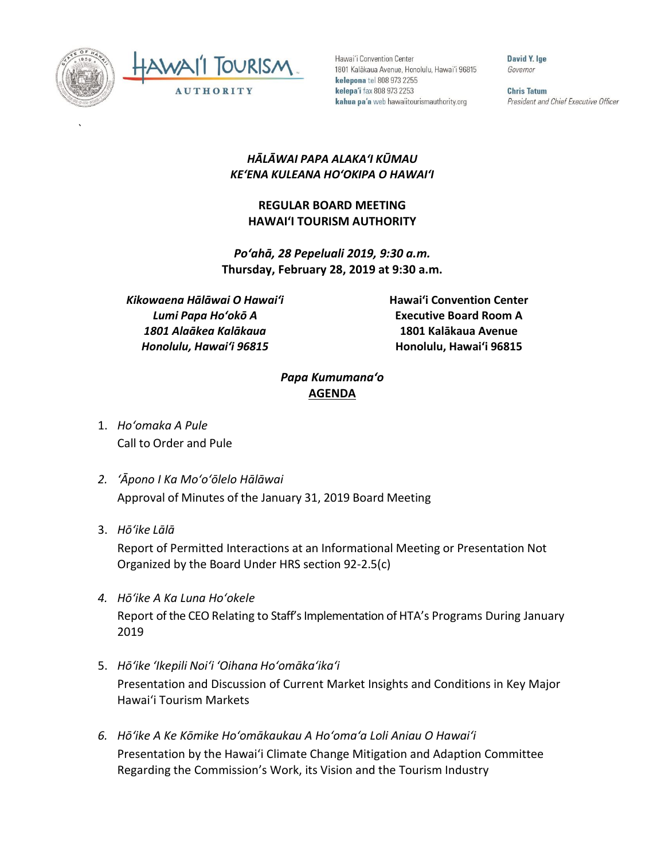

`



Hawai'i Convention Center 1801 Kalākaua Avenue, Honolulu, Hawai'i 96815 kelepona tel 808 973 2255 kelepa'i fax 808 973 2253 kahua pa'a web hawaiitourismauthority.org

David Y. Ige Governor

**Chris Tatum** President and Chief Executive Officer

## *HĀLĀWAI PAPA ALAKAʻI KŪMAU KEʻENA KULEANA HOʻOKIPA O HAWAIʻI*

## **REGULAR BOARD MEETING HAWAI'I TOURISM AUTHORITY**

*Poʻahā, 28 Pepeluali 2019, 9:30 a.m.* **Thursday, February 28, 2019 at 9:30 a.m.**

*Kikowaena Hālāwai O Hawaiʻi Lumi Papa Hoʻokō A 1801 Alaākea Kalākaua Honolulu, Hawaiʻi 96815*

**Hawai'i Convention Center Executive Board Room A 1801 Kalākaua Avenue Honolulu, Hawai'i 96815**

## *Papa Kumumanaʻo* **AGENDA**

- 1. *Ho'omaka A Pule* Call to Order and Pule
- *2. ʻĀpono I Ka Moʻoʻōlelo Hālāwai* Approval of Minutes of the January 31, 2019 Board Meeting
- 3. *Hō'ike Lālā*

Report of Permitted Interactions at an Informational Meeting or Presentation Not Organized by the Board Under HRS section 92-2.5(c)

- *4. Hōʻike A Ka Luna Hoʻokele* Report of the CEO Relating to Staff's Implementation of HTA's Programs During January 2019
- 5. *Hō'ike 'Ikepili Noi'i 'Oihana Ho'omāka'ika'i* Presentation and Discussion of Current Market Insights and Conditions in Key Major Hawai'i Tourism Markets
- *6. Hōʻike A Ke Kōmike Hoʻomākaukau A Hoʻomaʻa Loli Aniau O Hawaiʻi* Presentation by the Hawai'i Climate Change Mitigation and Adaption Committee Regarding the Commission's Work, its Vision and the Tourism Industry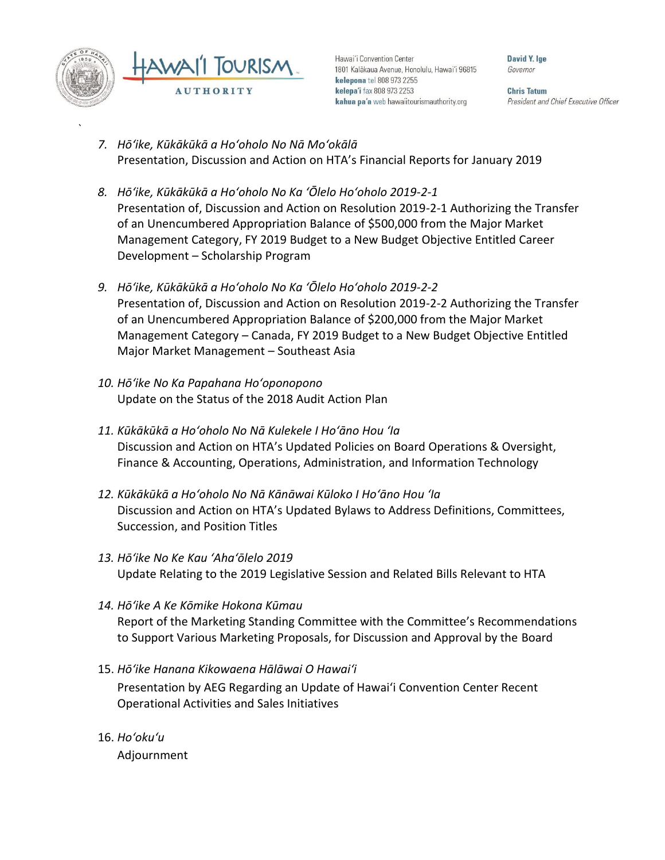

`

Hawai'i Convention Center 1801 Kalākaua Avenue, Honolulu, Hawai'i 96815 kelepona tel 808 973 2255 kelepa'i fax 808 973 2253 kahua pa'a web hawaiitourismauthority.org

David Y. Ine. Governor

**Chris Tatum** President and Chief Executive Officer

- *7. Hōʻike, Kūkākūkā a Hoʻoholo No Nā Moʻokālā* Presentation, Discussion and Action on HTA's Financial Reports for January 2019
- *8. Hōʻike, Kūkākūkā a Hoʻoholo No Ka ʻŌlelo Hoʻoholo 2019-2-1* Presentation of, Discussion and Action on Resolution 2019-2-1 Authorizing the Transfer of an Unencumbered Appropriation Balance of \$500,000 from the Major Market Management Category, FY 2019 Budget to a New Budget Objective Entitled Career Development – Scholarship Program
- *9. Hōʻike, Kūkākūkā a Hoʻoholo No Ka ʻŌlelo Hoʻoholo 2019-2-2* Presentation of, Discussion and Action on Resolution 2019-2-2 Authorizing the Transfer of an Unencumbered Appropriation Balance of \$200,000 from the Major Market Management Category – Canada, FY 2019 Budget to a New Budget Objective Entitled Major Market Management – Southeast Asia
- *10. Hōʻike No Ka Papahana Hoʻoponopono* Update on the Status of the 2018 Audit Action Plan
- *11. Kūkākūkā a Hoʻoholo No Nā Kulekele I Hoʻāno Hou ʻIa* Discussion and Action on HTA's Updated Policies on Board Operations & Oversight, Finance & Accounting, Operations, Administration, and Information Technology
- *12. Kūkākūkā a Hoʻoholo No Nā Kānāwai Kūloko I Hoʻāno Hou ʻIa* Discussion and Action on HTA's Updated Bylaws to Address Definitions, Committees, Succession, and Position Titles
- *13. Hōʻike No Ke Kau ʻAhaʻōlelo 2019* Update Relating to the 2019 Legislative Session and Related Bills Relevant to HTA
- *14. Hōʻike A Ke Kōmike Hokona Kūmau* Report of the Marketing Standing Committee with the Committee's Recommendations to Support Various Marketing Proposals, for Discussion and Approval by the Board
- 15. *Hōʻike Hanana Kikowaena Hālāwai O Hawaiʻi* Presentation by AEG Regarding an Update of Hawai'i Convention Center Recent Operational Activities and Sales Initiatives
- 16. *Ho'oku'u* Adjournment